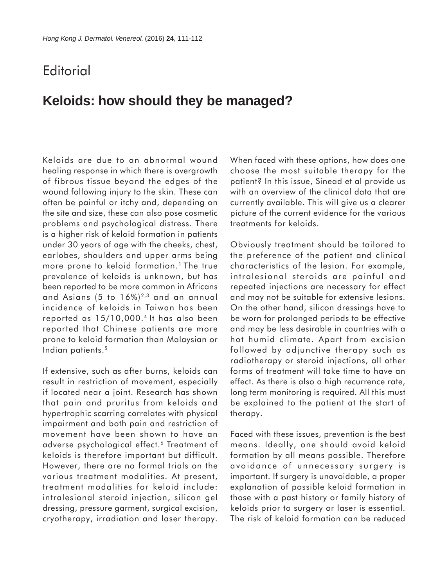## **Editorial**

## **Keloids: how should they be managed?**

Keloids are due to an abnormal wound healing response in which there is overgrowth of fibrous tissue beyond the edges of the wound following injury to the skin. These can often be painful or itchy and, depending on the site and size, these can also pose cosmetic problems and psychological distress. There is a higher risk of keloid formation in patients under 30 years of age with the cheeks, chest, earlobes, shoulders and upper arms being more prone to keloid formation.<sup>1</sup> The true prevalence of keloids is unknown, but has been reported to be more common in Africans and Asians  $(5 \text{ to } 16\%)^{2,3}$  and an annual incidence of keloids in Taiwan has been reported as 15/10,000.4 It has also been reported that Chinese patients are more prone to keloid formation than Malaysian or Indian patients.5

If extensive, such as after burns, keloids can result in restriction of movement, especially if located near a joint. Research has shown that pain and pruritus from keloids and hypertrophic scarring correlates with physical impairment and both pain and restriction of movement have been shown to have an adverse psychological effect.6 Treatment of keloids is therefore important but difficult. However, there are no formal trials on the various treatment modalities. At present, treatment modalities for keloid include: intralesional steroid injection, silicon gel dressing, pressure garment, surgical excision, cryotherapy, irradiation and laser therapy.

When faced with these options, how does one choose the most suitable therapy for the patient? In this issue, Sinead et al provide us with an overview of the clinical data that are currently available. This will give us a clearer picture of the current evidence for the various treatments for keloids.

Obviously treatment should be tailored to the preference of the patient and clinical characteristics of the lesion. For example, intralesional steroids are painful and repeated injections are necessary for effect and may not be suitable for extensive lesions. On the other hand, silicon dressings have to be worn for prolonged periods to be effective and may be less desirable in countries with a hot humid climate. Apart from excision followed by adjunctive therapy such as radiotherapy or steroid injections, all other forms of treatment will take time to have an effect. As there is also a high recurrence rate, long term monitoring is required. All this must be explained to the patient at the start of therapy.

Faced with these issues, prevention is the best means. Ideally, one should avoid keloid formation by all means possible. Therefore avoidance of unnecessary surgery is important. If surgery is unavoidable, a proper explanation of possible keloid formation in those with a past history or family history of keloids prior to surgery or laser is essential. The risk of keloid formation can be reduced